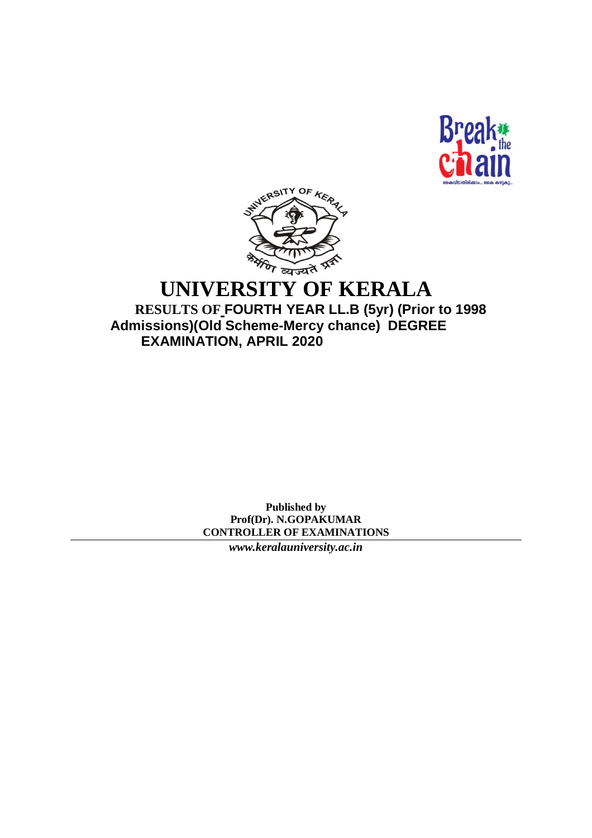



## **UNIVERSITY OF KERALA RESULTS OF FOURTH YEAR LL.B (5yr) (Prior to 1998**

 **Admissions)(Old Scheme-Mercy chance) DEGREE EXAMINATION, APRIL 2020**

> **Published by Prof(Dr). N.GOPAKUMAR CONTROLLER OF EXAMINATIONS**

> > *[www.keralauniversity.ac.in](http://www.keralauniversity.ac.in)*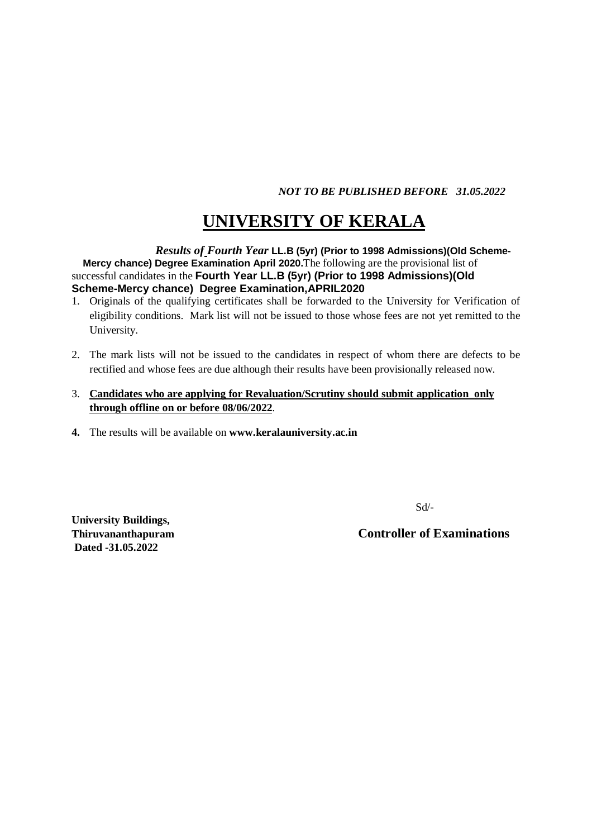*NOT TO BE PUBLISHED BEFORE 31.05.2022*

# **UNIVERSITY OF KERALA**

 *Results of Fourth Year* **LL.B (5yr) (Prior to 1998 Admissions)(Old Scheme- Mercy chance) Degree Examination April 2020.**The following are the provisional list of successful candidates in the **Fourth Year LL.B (5yr) (Prior to 1998 Admissions)(Old Scheme-Mercy chance) Degree Examination,APRIL2020**

- 1. Originals of the qualifying certificates shall be forwarded to the University for Verification of eligibility conditions. Mark list will not be issued to those whose fees are not yet remitted to the University.
- 2. The mark lists will not be issued to the candidates in respect of whom there are defects to be rectified and whose fees are due although their results have been provisionally released now.
- 3. **Candidates who are applying for Revaluation/Scrutiny should submit application only through offline on or before 08/06/2022**.
- **4.** The results will be available on **[www.keralauniversity.ac.in](http://www.keralauniversity.ac.in)**

Sd/-

**University Buildings, Dated -31.05.2022**

**Thiruvananthapuram Controller of Examinations**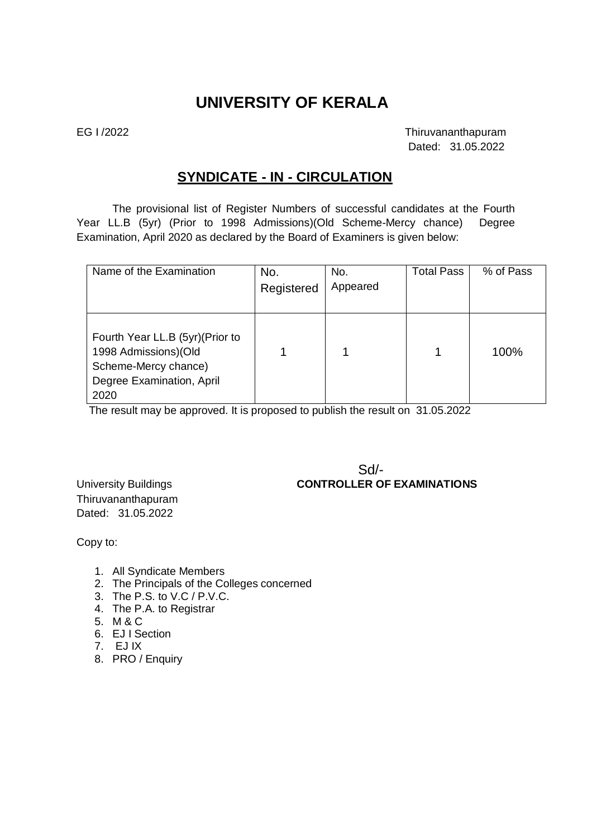### **UNIVERSITY OF KERALA**

EG I /2022 Thiruvananthapuram Dated: 31.05.2022

### **SYNDICATE - IN - CIRCULATION**

The provisional list of Register Numbers of successful candidates at the Fourth Year LL.B (5yr) (Prior to 1998 Admissions)(Old Scheme-Mercy chance) Degree Examination, April 2020 as declared by the Board of Examiners is given below:

| Name of the Examination          | No.        | No.      | <b>Total Pass</b> | % of Pass |
|----------------------------------|------------|----------|-------------------|-----------|
|                                  | Registered | Appeared |                   |           |
|                                  |            |          |                   |           |
|                                  |            |          |                   |           |
| Fourth Year LL.B (5yr) (Prior to |            |          |                   |           |
| 1998 Admissions)(Old             |            |          |                   | 100%      |
| Scheme-Mercy chance)             |            |          |                   |           |
| Degree Examination, April        |            |          |                   |           |
| 2020                             |            |          |                   |           |

The result may be approved. It is proposed to publish the result on 31.05.2022

Sd/- University Buildings **CONTROLLER OF EXAMINATIONS**

Thiruvananthapuram Dated: 31.05.2022

Copy to:

- 1. All Syndicate Members
- 2. The Principals of the Colleges concerned
- 3. The P.S. to V.C / P.V.C.
- 4. The P.A. to Registrar
- 5. M & C
- 6. EJ I Section
- 7. EJ IX
- 8. PRO / Enquiry